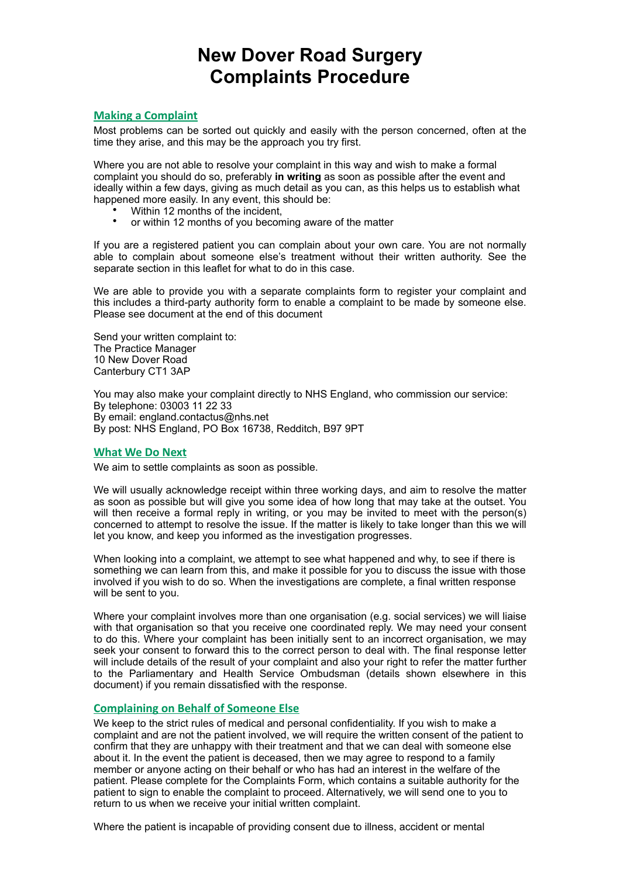## **New Dover Road Surgery Complaints Procedure**

#### **Making a Complaint**

Most problems can be sorted out quickly and easily with the person concerned, often at the time they arise, and this may be the approach you try first.

Where you are not able to resolve your complaint in this way and wish to make a formal complaint you should do so, preferably **in writing** as soon as possible after the event and ideally within a few days, giving as much detail as you can, as this helps us to establish what happened more easily. In any event, this should be:

- Within 12 months of the incident,
- or within 12 months of you becoming aware of the matter

If you are a registered patient you can complain about your own care. You are not normally able to complain about someone else's treatment without their written authority. See the separate section in this leaflet for what to do in this case.

We are able to provide you with a separate complaints form to register your complaint and this includes a third-party authority form to enable a complaint to be made by someone else. Please see document at the end of this document

Send your written complaint to: The Practice Manager 10 New Dover Road Canterbury CT1 3AP

You may also make your complaint directly to NHS England, who commission our service: By telephone: 03003 11 22 33 By email: england.contactus@nhs.net By post: NHS England, PO Box 16738, Redditch, B97 9PT

#### **What We Do Next**

We aim to settle complaints as soon as possible.

We will usually acknowledge receipt within three working days, and aim to resolve the matter as soon as possible but will give you some idea of how long that may take at the outset. You will then receive a formal reply in writing, or you may be invited to meet with the person(s) concerned to attempt to resolve the issue. If the matter is likely to take longer than this we will let you know, and keep you informed as the investigation progresses.

When looking into a complaint, we attempt to see what happened and why, to see if there is something we can learn from this, and make it possible for you to discuss the issue with those involved if you wish to do so. When the investigations are complete, a final written response will be sent to you.

Where your complaint involves more than one organisation (e.g. social services) we will liaise with that organisation so that you receive one coordinated reply. We may need your consent to do this. Where your complaint has been initially sent to an incorrect organisation, we may seek your consent to forward this to the correct person to deal with. The final response letter will include details of the result of your complaint and also your right to refer the matter further to the Parliamentary and Health Service Ombudsman (details shown elsewhere in this document) if you remain dissatisfied with the response.

#### **Complaining on Behalf of Someone Else**

We keep to the strict rules of medical and personal confidentiality. If you wish to make a complaint and are not the patient involved, we will require the written consent of the patient to confirm that they are unhappy with their treatment and that we can deal with someone else about it. In the event the patient is deceased, then we may agree to respond to a family member or anyone acting on their behalf or who has had an interest in the welfare of the patient. Please complete for the Complaints Form, which contains a suitable authority for the patient to sign to enable the complaint to proceed. Alternatively, we will send one to you to return to us when we receive your initial written complaint.

Where the patient is incapable of providing consent due to illness, accident or mental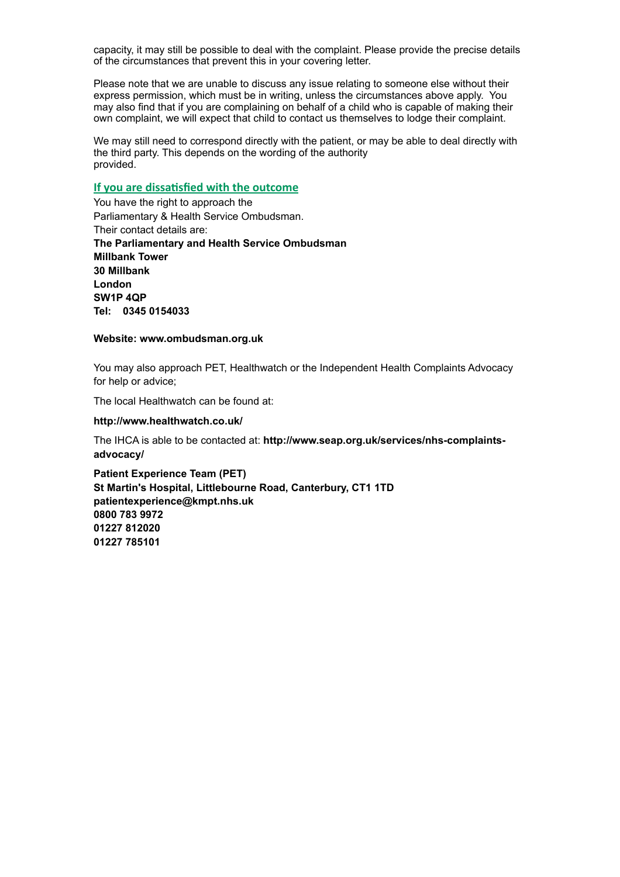capacity, it may still be possible to deal with the complaint. Please provide the precise details of the circumstances that prevent this in your covering letter.

Please note that we are unable to discuss any issue relating to someone else without their express permission, which must be in writing, unless the circumstances above apply. You may also find that if you are complaining on behalf of a child who is capable of making their own complaint, we will expect that child to contact us themselves to lodge their complaint.

We may still need to correspond directly with the patient, or may be able to deal directly with the third party. This depends on the wording of the authority provided.

#### **If you are dissatisfied with the outcome**

You have the right to approach the Parliamentary & Health Service Ombudsman. Their contact details are: **The Parliamentary and Health Service Ombudsman Millbank Tower 30 Millbank London SW1P 4QP Tel: 0345 0154033** 

#### **Website: www.ombudsman.org.uk**

You may also approach PET, Healthwatch or the Independent Health Complaints Advocacy for help or advice;

The local Healthwatch can be found at:

#### **http://www.healthwatch.co.uk/**

The IHCA is able to be contacted at: **http://www.seap.org.uk/services/nhs-complaintsadvocacy/** 

**Patient Experience Team (PET) St Martin's Hospital, Littlebourne Road, Canterbury, CT1 1TD [patientexperience@kmpt.nhs.uk](mailto:patientexperience@kmpt.nhs.uk)  0800 783 9972 01227 812020 01227 785101**